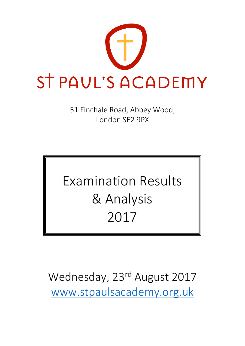

51 Finchale Road, Abbey Wood, London SE2 9PX

# Examination Results & Analysis 2017

Wednesday, 23<sup>rd</sup> August 2017 [www.stpaulsacademy.org.uk](http://www.stpaulsacademy.org.uk/)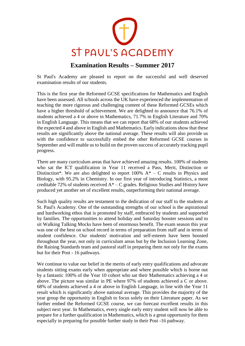

#### **Examination Results – Summer 2017**

St Paul's Academy are pleased to report on the successful and well deserved examination results of our students.

This is the first year the Reformed GCSE specifications for Mathematics and English have been assessed. All schools across the UK have experienced the implementation of teaching the more rigorous and challenging content of these Reformed GCSEs which have a higher threshold of achievement. We are delighted to announce that 76.1% of students achieved a 4 or above in Mathematics, 71.7% in English Literature and 70% in English Language. This means that we can report that 68% of our students achieved the expected 4 and above in English and Mathematics. Early indications show that these results are significantly above the national average. These results will also provide us with the confidence to successfully embed the other Reformed GCSE courses in September and will enable us to build on the proven success of accurately tracking pupil progress.

There are many curriculum areas that have achieved amazing results. 100% of students who sat the ICT qualification in Year 11 received a Pass, Merit, Distinction or Distinction\*. We are also delighted to report 100%  $A^* - C$  results in Physics and Biology, with 95.2% in Chemistry. In our first year of introducing Statistics, a most creditable 72% of students received  $A^*$  – C grades. Religious Studies and History have produced yet another set of excellent results, outperforming their national average.

Such high quality results are testament to the dedication of our staff to the students at St. Paul's Academy. One of the outstanding strengths of our school is the aspirational and hardworking ethos that is promoted by staff, embraced by students and supported by families. The opportunities to attend holiday and Saturday booster sessions and to sit Walking Talking Mocks have been of enormous benefit. The exam season this year was one of the best on school record in terms of preparation from staff and in terms of student confidence. Our students' motivation and self-esteem have been boosted throughout the year, not only in curriculum areas but by the Inclusion Learning Zone, the Raising Standards team and pastoral staff in preparing them not only for the exams but for their Post - 16 pathways.

We continue to value our belief in the merits of early entry qualifications and advocate students sitting exams early when appropriate and where possible which is borne out by a fantastic 100% of the Year 10 cohort who sat their Mathematics achieving a 4 or above. The picture was similar in PE where 97% of students achieved a C or above. 68% of students achieved a 4 or above in English Language, in line with the Year 11 result which is significantly above national average. This provides the majority of the year group the opportunity in English to focus solely on their Literature paper. As we further embed the Reformed GCSE course, we can forecast excellent results in this subject next year. In Mathematics, every single early entry student will now be able to prepare for a further qualification in Mathematics, which is a great opportunity for them especially in preparing for possible further study in their Post -16 pathway.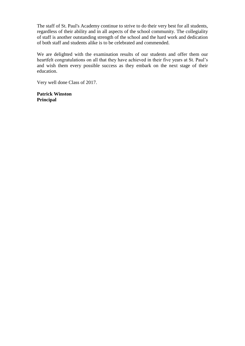The staff of St. Paul's Academy continue to strive to do their very best for all students, regardless of their ability and in all aspects of the school community. The collegiality of staff is another outstanding strength of the school and the hard work and dedication of both staff and students alike is to be celebrated and commended.

We are delighted with the examination results of our students and offer them our heartfelt congratulations on all that they have achieved in their five years at St. Paul's and wish them every possible success as they embark on the next stage of their education.

Very well done Class of 2017.

**Patrick Winston Principal**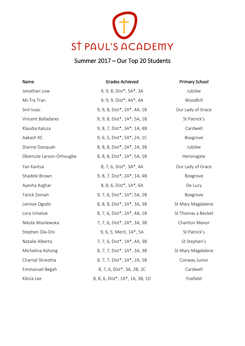

## Summer 2017 – Our Top 20 Students

| Name                    | <b>Grades Achieved</b>          | <b>Primary School</b> |
|-------------------------|---------------------------------|-----------------------|
| Jonathan Low            | 9, 9, 8, Dist*, 5A*, 3A         | Jubilee               |
| Mi-Tra Tran             | 9, 9, 9, Dist*, 4A*, 4A         | Woodhill              |
| Snit Issac              | 9, 9, 8, Dist*, 2A*, 4A, 1B     | Our Lady of Grace     |
| Vincent Balladares      | 9, 9, 8, Dist*, 1A*, 5A, 1B     | St Patrick's          |
| Klaudia Kaluza          | 9, 8, 7, Dist*, 3A*, 1A, 4B     | Cardwell              |
| Aakash KC               | 9, 6, 5, Dist*, 5A*, 2A, 1C     | Boxgrove              |
| Dianne Danquah          | 8, 8, 8, Dist*, 2A*, 2A, 3B     | Jubilee               |
| Okemute Larson-Orhougbe | 8, 8, 8, Dist*, 2A*, 5A, 1B     | Heronsgate            |
| Yan Kantsa              | 8, 7, 6, Dist*, 3A*, 4A         | Our Lady of Grace     |
| Shadele Brown           | 9, 8, 7, Dist*, 2A*, 1A, 4B     | Boxgrove              |
| Ayesha Asghar           | 8, 8, 6, Dist*, 1A*, 6A         | De Lucy               |
| Tarick Zomah            | 9, 7, 6, Dist*, 1A*, 5A, 2B     | Boxgrove              |
| Lennox Ogodo            | 8, 8, 8, Dist*, 1A*, 3A, 3B     | St Mary Magdalene     |
| Lora Umelue             | 8, 7, 6, Dist*, 2A*, 4A, 1B     | St Thomas a Becket    |
| Nikola Wasilewska       | 7, 7, 6, Dist*, 2A*, 3A, 3B     | Charlton Manor        |
| Stephen Ola-Oni         | 9, 6, 5, Merit, 1A*, 5A         | St Patrick's          |
| Natalie Alberto         | 7, 7, 6, Dist*, 1A*, 4A, 3B     | St Stephen's          |
| Michelina Ashong        | 8, 7, 7, Dist*, 1A*, 3A, 3B     | St Mary Magdalene     |
| Chantal Shrestha        | 8, 7, 7, Dist*, 1A*, 2A, 5B     | Conway Junior         |
| Emmanuel Begah          | 8, 7, 6, Dist*, 3A, 2B, 2C      | Cardwell              |
| Kibria Lee              | 8, 8, 6, Dist*, 1A*, 1A, 3B, 1D | Foxfield              |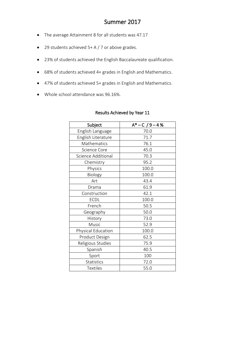### Summer 2017

- The average Attainment 8 for all students was 47.17
- 29 students achieved 5+ A / 7 or above grades.
- 23% of students achieved the English Baccalaureate qualification.
- 68% of students achieved 4+ grades in English and Mathematics.
- 47% of students achieved 5+ grades in English and Mathematics.
- Whole school attendance was 96.16%.

| Subject            | $A*-C/9-4%$ |
|--------------------|-------------|
| English Language   | 70.0        |
| English Literature | 71.7        |
| Mathematics        | 76.1        |
| Science Core       | 45.0        |
| Science Additional | 70.3        |
| Chemistry          | 95.2        |
| Physics            | 100.0       |
| Biology            | 100.0       |
| Art                | 43.4        |
| Drama              | 61.9        |
| Construction       | 42.1        |
| <b>ECDL</b>        | 100.0       |
| French             | 50.5        |
| Geography          | 50.0        |
| History            | 73.0        |
| Music              | 52.9        |
| Physical Education | 100.0       |
| Product Design     | 62.5        |
| Religious Studies  | 75.9        |
| Spanish            | 40.5        |
| Sport              | 100         |
| Statistics         | 72.0        |
| <b>Textiles</b>    | 55.0        |

#### Results Achieved by Year 11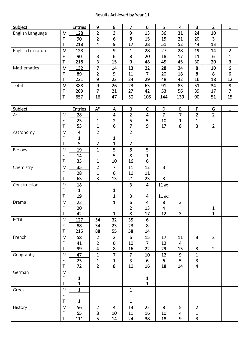### Results Achieved by Year 11

| Subject            |             | <b>Entries</b>          | $\boldsymbol{9}$        | $\bf 8$                   | $\overline{7}$ | $6\phantom{1}$          | 5              | $\overline{4}$          | $\overline{3}$          | $\overline{2}$ | $\mathbf{1}$     |
|--------------------|-------------|-------------------------|-------------------------|---------------------------|----------------|-------------------------|----------------|-------------------------|-------------------------|----------------|------------------|
| English Language   | M           | 128                     | $\overline{2}$          | 3                         | 9              | 13                      | 36             | 31                      | 24                      | 10             |                  |
|                    | $\mathsf F$ | 90                      | $\overline{2}$          | 6                         | 8              | 15                      | 15             | 21                      | 20                      | 3              |                  |
|                    | T           | 218                     | $\overline{\mathbf{4}}$ | 9                         | 17             | 28                      | 51             | 52                      | 44                      | 13             |                  |
| English Literature | M           | 128                     |                         | 9                         | $\mathbf{1}$   | 28                      | 27             | 28                      | 19                      | 14             | $\overline{2}$   |
|                    | $\mathsf F$ | 90                      | 3                       | 6                         | 8              | 20                      | 18             | 17                      | 11                      | 6              | 1                |
|                    | T           | 218                     | 3                       | 15                        | 9              | 48                      | 45             | 45                      | 30                      | 20             | 3                |
| Mathematics        | M           | 132                     | $\overline{7}$          | 14                        | 13             | 22                      | 28             | 24                      | 8                       | 10             | $\boldsymbol{6}$ |
|                    | F           | 89                      | $\overline{2}$          | 9                         | 11             | $\overline{7}$          | 20             | 18                      | 8                       | 8              | 6                |
|                    | T           | 221                     | 9                       | 23                        | 24             | 29                      | 48             | 42                      | 16                      | 18             | 12               |
| Total              | M           | 388                     | 9                       | 26                        | 23             | 63                      | 91             | 83                      | 51                      | 34             | $\bf 8$          |
|                    | F           | 269                     | 7                       | 21                        | 27             | 42                      | 53             | 56                      | 39                      | 17             | $\overline{7}$   |
|                    | Τ           | 657                     | 16                      | 47                        | 50             | 105                     | 144            | 139                     | 90                      | 51             | 15               |
|                    |             |                         |                         |                           |                |                         |                |                         |                         |                |                  |
|                    |             |                         |                         |                           |                | $\mathsf C$             |                |                         |                         |                |                  |
| Subject            |             | <b>Entries</b>          | $A^*$                   | $\boldsymbol{\mathsf{A}}$ | $\sf B$        |                         | D              | $\mathsf E$             | F                       | G              | U                |
| Art                | M           | 28                      |                         | $\overline{\mathbf{4}}$   | $\overline{2}$ | $\overline{\mathbf{4}}$ | $\overline{7}$ | $\overline{7}$          | $\overline{2}$          | $\overline{2}$ |                  |
|                    | F           | 25                      | 1                       | $\overline{\mathbf{c}}$   | 5              | 5                       | 10             | $\mathbf{1}$            | 1                       |                |                  |
|                    | T           | 53                      | 1                       | 6                         | 7              | 9                       | 17             | 8                       | $\overline{\mathbf{3}}$ | $\overline{2}$ |                  |
| Astronomy          | M           | $\overline{\mathbf{4}}$ | $\overline{2}$          |                           | $\overline{2}$ |                         |                |                         |                         |                |                  |
|                    | F           | $\mathbf{1}$            |                         | 1                         |                |                         |                |                         |                         |                |                  |
|                    | T           | 5                       | $\overline{2}$          | 1                         | $\overline{2}$ |                         |                |                         |                         |                |                  |
| Biology            | M           | 19                      | $\mathbf{1}$            | 5                         | 8              | 5                       |                |                         |                         |                |                  |
|                    | F           | 14                      |                         | 5                         | 8              | 1                       |                |                         |                         |                |                  |
|                    | T           | 33                      | $\mathbf{1}$            | 10                        | 16             | $6\phantom{1}$          |                |                         |                         |                |                  |
| Chemistry          | M           | 35                      | $\overline{2}$          | $\overline{7}$            | 11             | 12                      | 3              |                         |                         |                |                  |
|                    | F           | 28                      | 1                       | 6                         | 10             | 11                      |                |                         |                         |                |                  |
|                    | T           | 63                      | 3                       | 13                        | 21             | 23                      | 3              |                         |                         |                |                  |
| Construction       | M           | 18                      |                         |                           | $\overline{3}$ | $\overline{\mathbf{4}}$ | 11(P1)         |                         |                         |                |                  |
|                    | F           | 1                       |                         | 1                         |                |                         |                |                         |                         |                |                  |
|                    | T           | 19                      |                         | $\mathbf{1}$              | $\mathbf{3}$   | 4                       | 11(P1)         |                         |                         |                |                  |
| Drama              | M           | 22                      |                         | $\overline{1}$            | 6              | $\overline{4}$          | 8              | $\overline{3}$          |                         |                |                  |
|                    | F           | 20                      |                         |                           | $\overline{2}$ | 13                      | $\overline{4}$ |                         |                         | $\mathbf{1}$   |                  |
|                    | T           | 42                      |                         | $\mathbf{1}$              | 8              | 17                      | 12             | 3                       |                         | $\mathbf{1}$   |                  |
|                    |             |                         |                         |                           |                |                         |                |                         |                         |                |                  |
| ECDL               | M           | 127                     | 54                      | 32                        | 35             | $\boldsymbol{6}$        |                |                         |                         |                |                  |
|                    | F<br>Τ      | 88                      | 34                      | 23                        | 23             | 8                       |                |                         |                         |                |                  |
|                    |             | 215                     | 88                      | 55                        | 58             | 14                      |                |                         |                         |                |                  |
| French             | M           | 58                      | $\overline{2}$          | $\overline{2}$            | 6              | 15                      | 17             | 11                      | $\overline{3}$          | $\overline{2}$ |                  |
|                    | F           | 41                      | $\overline{2}$          | $\boldsymbol{6}$          | 10             | $\overline{7}$          | 12             | $\overline{\mathbf{4}}$ |                         |                |                  |
|                    | T           | 99                      | $\overline{\mathbf{4}}$ | 8                         | 16             | 22                      | 29             | 15                      | $\mathbf{3}$            | $2^{\circ}$    |                  |
| Geography          | M           | 47                      | $\mathbf{1}$            | $\overline{7}$            | $\overline{7}$ | 10                      | 12             | 9                       | $\mathbf{1}$            |                |                  |
|                    | F           | 25                      | $\mathbf{1}$            | 1                         | $\overline{3}$ | 6                       | 6              | 5                       | 3                       |                |                  |
|                    | Τ           | 72                      | $\overline{2}$          | 8                         | $10\,$         | 16                      | 18             | 14                      | $\overline{\mathbf{4}}$ |                |                  |
| German             | M           |                         |                         |                           |                |                         |                |                         |                         |                |                  |
|                    | F           | $\mathbf{1}$            |                         |                           |                | $\frac{1}{1}$           |                |                         |                         |                |                  |
|                    | T           | $\mathbf{1}$            |                         |                           |                |                         |                |                         |                         |                |                  |
| Greek              | ${\sf M}$   | $\mathbf{1}$            |                         |                           | $\mathbf{1}$   |                         |                |                         |                         |                |                  |
|                    | F           |                         |                         |                           |                |                         |                |                         |                         |                |                  |
|                    | T           | $\mathbf{1}$            |                         |                           | $\mathbf{1}$   |                         |                |                         |                         |                |                  |
| History            | M           | 56                      | $\overline{2}$          | 4                         | 13             | 22                      | 8              | 5                       | $\overline{2}$          |                |                  |
|                    | F           | 55                      | 3                       | 10                        | 11             | 16                      | 10             | 4                       | 1                       |                |                  |
|                    | Τ           | 111                     | 5                       | 14                        | 24             | 38                      | 18             | 9                       | $\overline{3}$          |                |                  |
|                    |             |                         |                         |                           |                |                         |                |                         |                         |                |                  |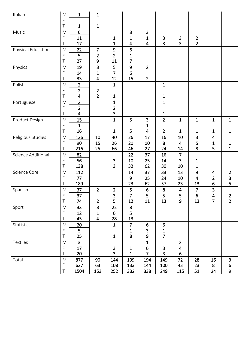| Italian            | $\mathsf{M}% _{T}=\mathsf{M}_{T}\!\left( a,b\right) ,\ \mathsf{M}_{T}=\mathsf{M}_{T}\!\left( a,b\right) ,$<br>F | 1                   | $\mathbf{1}$                     |                         |                   |                         |                                |                |                         |                         |                         |
|--------------------|-----------------------------------------------------------------------------------------------------------------|---------------------|----------------------------------|-------------------------|-------------------|-------------------------|--------------------------------|----------------|-------------------------|-------------------------|-------------------------|
|                    | $\top$                                                                                                          | $\mathbf 1$         | $\mathbf{1}$                     |                         |                   |                         |                                |                |                         |                         |                         |
| Music              | M                                                                                                               | 6                   |                                  |                         | 3                 | $\overline{\mathbf{3}}$ |                                |                |                         |                         |                         |
|                    | F                                                                                                               | 11                  |                                  | 1                       | 1                 | 1                       | 3                              | 3              | $\overline{\mathbf{c}}$ |                         |                         |
|                    | T                                                                                                               | 17                  |                                  | $\mathbf{1}$            | $\overline{4}$    | $\overline{4}$          | 3                              | $\overline{3}$ | $\overline{2}$          |                         |                         |
| Physical Education | $\mathsf{M}% _{T}=\mathsf{M}_{T}\!\left( a,b\right) ,\ \mathsf{M}_{T}=\mathsf{M}_{T}\!\left( a,b\right) ,$      | 22                  | $\overline{7}$                   | 9                       | $6\phantom{a}$    |                         |                                |                |                         |                         |                         |
|                    | F                                                                                                               | 5                   | $\overline{2}$                   | $\overline{2}$          | 1                 |                         |                                |                |                         |                         |                         |
|                    | Ť                                                                                                               | 27                  | 9                                | 11                      | $\overline{7}$    |                         |                                |                |                         |                         |                         |
| Physics            | M                                                                                                               | 19                  | $\overline{\mathbf{3}}$          | 5                       | $\boldsymbol{9}$  | $\overline{2}$          |                                |                |                         |                         |                         |
|                    | F<br>T                                                                                                          | 14                  | 1                                | 7                       | 6                 |                         |                                |                |                         |                         |                         |
|                    |                                                                                                                 | 33                  | $\overline{4}$                   | 12                      | 15                | $\overline{2}$          |                                |                |                         |                         |                         |
| Polish             | M                                                                                                               | $\overline{2}$      |                                  | $\mathbf{1}$            |                   |                         | $\mathbf{1}$                   |                |                         |                         |                         |
|                    | F<br>T                                                                                                          | $\overline{2}$<br>4 | $\overline{2}$<br>$\overline{2}$ | $\mathbf{1}$            |                   |                         | $\mathbf{1}$                   |                |                         |                         |                         |
| Portuguese         | M                                                                                                               | $\overline{2}$      |                                  | $\mathbf{1}$            |                   |                         | $\mathbf{1}$                   |                |                         |                         |                         |
|                    | F                                                                                                               | $\overline{2}$      |                                  | $\overline{\mathbf{c}}$ |                   |                         |                                |                |                         |                         |                         |
|                    | $\top$                                                                                                          | $\overline{4}$      |                                  | 3                       |                   |                         | $\mathbf{1}$                   |                |                         |                         |                         |
| Product Design     | M                                                                                                               | 15                  |                                  | $\mathbf{1}$            | 5                 | $\overline{\mathbf{3}}$ | $\overline{2}$                 | $\mathbf{1}$   | $\mathbf{1}$            | $\mathbf{1}$            | $\mathbf{1}$            |
|                    | F                                                                                                               | $\mathbf{1}$        |                                  |                         |                   | 1                       |                                |                |                         |                         |                         |
|                    | T                                                                                                               | 16                  |                                  | $\mathbf{1}$            | 5                 | $\overline{4}$          | $\overline{2}$                 | $\mathbf{1}$   | $\mathbf{1}$            | 1                       | $\mathbf{1}$            |
| Religious Studies  | M                                                                                                               | 126                 | 10                               | 40                      | 26                | 17                      | 16                             | 10             | $\overline{\mathbf{3}}$ | $\overline{\mathbf{4}}$ |                         |
|                    | F                                                                                                               | 90                  | 15                               | 26                      | 20                | 10                      | 8                              | 4              | 5                       | 1                       | 1                       |
|                    | Τ                                                                                                               | 216                 | 25                               | 66                      | 46                | 27                      | 24                             | 14             | 8                       | 5                       | $\mathbf 1$             |
| Science Additional | M                                                                                                               | 82                  |                                  |                         | 22                | 37                      | 16                             | $\overline{7}$ |                         |                         |                         |
|                    | F                                                                                                               | 56                  |                                  | 3                       | 10                | 25                      | 14                             | 3              | 1                       |                         |                         |
|                    | Τ                                                                                                               | 138                 |                                  | 3                       | 32                | 62                      | 30                             | 10             | $\mathbf{1}$            |                         |                         |
| Science Core       | M                                                                                                               | 112                 |                                  |                         | 14                | 37                      | 33                             | 13             | $\boldsymbol{9}$        | 4                       | $\overline{\mathbf{c}}$ |
|                    | F                                                                                                               | 77                  |                                  |                         | 9                 | 25                      | 24                             | 10             | 4                       | $\overline{2}$          | $\frac{3}{5}$           |
|                    | T                                                                                                               | 189                 |                                  |                         | 23                | 62                      | 57                             | 23             | 13                      | 6                       |                         |
| Spanish            | M                                                                                                               | 37                  | $\overline{2}$                   | $\overline{2}$          | 5                 | 6                       | 8                              | $\overline{4}$ | $\overline{7}$          | 3                       |                         |
|                    | F                                                                                                               | 37                  |                                  | $\frac{3}{5}$           | 7                 | 5                       | 5                              | 5              | $\boldsymbol{6}$        | 4                       | $\overline{\mathbf{c}}$ |
|                    | $\top$                                                                                                          | 74                  | $\overline{2}$                   |                         | 12                | 11                      | 13                             | 9              | 13                      | $\overline{7}$          | $\overline{2}$          |
| Sport              | ${\sf M}$                                                                                                       | <u>33</u>           | $\mathbf{3}$                     | 22                      | $\bf 8$           |                         |                                |                |                         |                         |                         |
|                    | F<br>T                                                                                                          | 12<br>45            | 1<br>$\overline{\mathbf{4}}$     | 6                       | 5<br>13           |                         |                                |                |                         |                         |                         |
|                    |                                                                                                                 |                     |                                  | 28                      |                   |                         |                                |                |                         |                         |                         |
| Statistics         | ${\sf M}$                                                                                                       | 20<br>5             |                                  | $\mathbf{1}$            | $\overline{7}$    | 6                       | 6                              |                |                         |                         |                         |
|                    | F<br>T                                                                                                          | 25                  |                                  | $\mathbf{1}$            | $\mathbf{1}$<br>8 | $\mathsf 3$<br>9        | $\mathbf{1}$<br>$\overline{7}$ |                |                         |                         |                         |
| Textiles           | ${\sf M}$                                                                                                       | $\overline{3}$      |                                  |                         |                   | $\mathbf{1}$            |                                | $\overline{2}$ |                         |                         |                         |
|                    | F                                                                                                               | 17                  |                                  | $\mathbf{3}$            | $\mathbf{1}$      | $\boldsymbol{6}$        | $\ensuremath{\mathsf{3}}$      | 4              |                         |                         |                         |
|                    | T                                                                                                               | 20                  |                                  | $\overline{\mathbf{3}}$ | $\mathbf{1}$      | $\overline{7}$          | $\overline{\mathbf{3}}$        | 6              |                         |                         |                         |
| Total              | M                                                                                                               | 877                 | 90                               | 144                     | 199               | 194                     | 149                            | 72             | 28                      | 16                      | 3                       |
|                    | F                                                                                                               | 627                 | 63                               | 108                     | 133               | 144                     | 100                            | 43             | 23                      | 8                       | 6                       |
|                    | Τ                                                                                                               | 1504                | 153                              | 252                     | 332               | 338                     | 249                            | 115            | 51                      | 24                      | 9                       |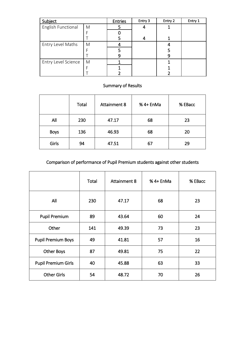| Subject             |   | <b>Entries</b> | Entry 3 | Entry 2 | Entry 1 |
|---------------------|---|----------------|---------|---------|---------|
| English Functional  | M |                |         |         |         |
|                     |   |                |         |         |         |
|                     |   |                |         |         |         |
| Entry Level Maths   | M |                |         |         |         |
|                     |   |                |         |         |         |
|                     |   |                |         |         |         |
| Entry Level Science | M |                |         |         |         |
|                     |   |                |         |         |         |
|                     |   |                |         |         |         |

#### Summary of Results

|             | Total | <b>Attainment 8</b> | % 4+ EnMa | % EBacc |
|-------------|-------|---------------------|-----------|---------|
| All         | 230   | 47.17               | 68        | 23      |
| <b>Boys</b> | 136   | 46.93               | 68        | 20      |
| Girls       | 94    | 47.51               | 67        | 29      |

## Comparison of performance of Pupil Premium students against other students

|                            | Total | <b>Attainment 8</b> | % 4+ EnMa | % EBacc |
|----------------------------|-------|---------------------|-----------|---------|
| All                        | 230   | 47.17               | 68        | 23      |
| <b>Pupil Premium</b>       | 89    | 43.64               | 60        | 24      |
| Other                      | 141   | 49.39               | 73        | 23      |
| <b>Pupil Premium Boys</b>  | 49    | 41.81               | 57        | 16      |
| <b>Other Boys</b>          | 87    | 49.81               | 75        | 22      |
| <b>Pupil Premium Girls</b> | 40    | 45.88               | 63        | 33      |
| <b>Other Girls</b>         | 54    | 48.72               | 70        | 26      |